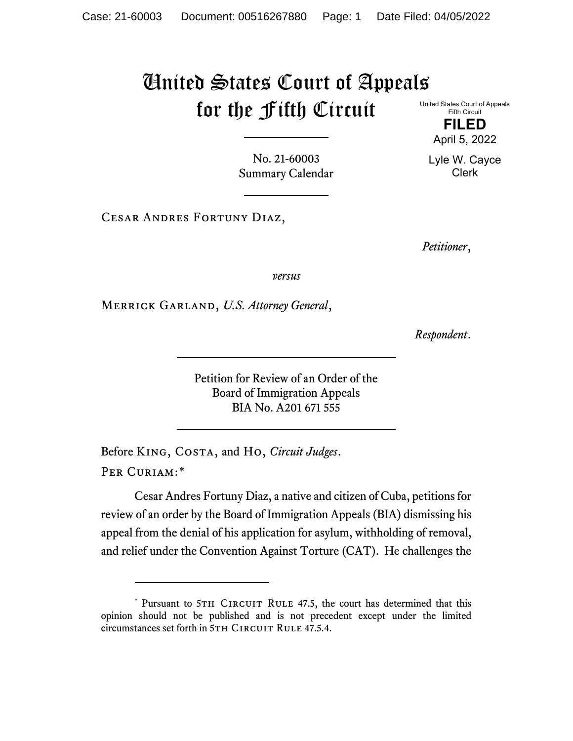## United States Court of Appeals for the Fifth Circuit

United States Court of Appeals Fifth Circuit

**FILED** April 5, 2022

Lyle W. Cayce Clerk

No. 21-60003 Summary Calendar

Cesar Andres Fortuny Diaz,

*Petitioner*,

*versus*

Merrick Garland, *U.S. Attorney General*,

*Respondent*.

Petition for Review of an Order of the Board of Immigration Appeals BIA No. A201 671 555

Before King, Costa, and Ho, *Circuit Judges*. Per Curiam:[\\*](#page-0-0)

Cesar Andres Fortuny Diaz, a native and citizen of Cuba, petitions for review of an order by the Board of Immigration Appeals (BIA) dismissing his appeal from the denial of his application for asylum, withholding of removal, and relief under the Convention Against Torture (CAT). He challenges the

<span id="page-0-0"></span><sup>\*</sup> Pursuant to 5TH CIRCUIT RULE 47.5, the court has determined that this opinion should not be published and is not precedent except under the limited circumstances set forth in 5TH CIRCUIT RULE 47.5.4.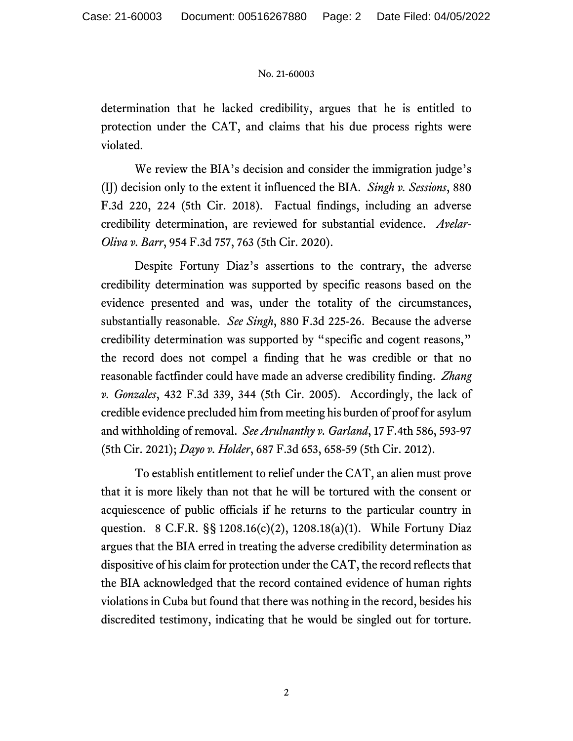## No. 21-60003

determination that he lacked credibility, argues that he is entitled to protection under the CAT, and claims that his due process rights were violated.

We review the BIA's decision and consider the immigration judge's (IJ) decision only to the extent it influenced the BIA. *Singh v. Sessions*, 880 F.3d 220, 224 (5th Cir. 2018). Factual findings, including an adverse credibility determination, are reviewed for substantial evidence. *Avelar-Oliva v. Barr*, 954 F.3d 757, 763 (5th Cir. 2020).

Despite Fortuny Diaz's assertions to the contrary, the adverse credibility determination was supported by specific reasons based on the evidence presented and was, under the totality of the circumstances, substantially reasonable. *See Singh*, 880 F.3d 225-26. Because the adverse credibility determination was supported by "specific and cogent reasons," the record does not compel a finding that he was credible or that no reasonable factfinder could have made an adverse credibility finding. *Zhang v. Gonzales*, 432 F.3d 339, 344 (5th Cir. 2005). Accordingly, the lack of credible evidence precluded him from meeting his burden of proof for asylum and withholding of removal. *See Arulnanthy v. Garland*, 17 F.4th 586, 593-97 (5th Cir. 2021); *Dayo v. Holder*, 687 F.3d 653, 658-59 (5th Cir. 2012).

To establish entitlement to relief under the CAT, an alien must prove that it is more likely than not that he will be tortured with the consent or acquiescence of public officials if he returns to the particular country in question. 8 C.F.R. §§ 1208.16(c)(2), 1208.18(a)(1). While Fortuny Diaz argues that the BIA erred in treating the adverse credibility determination as dispositive of his claim for protection under the CAT, the record reflects that the BIA acknowledged that the record contained evidence of human rights violations in Cuba but found that there was nothing in the record, besides his discredited testimony, indicating that he would be singled out for torture.